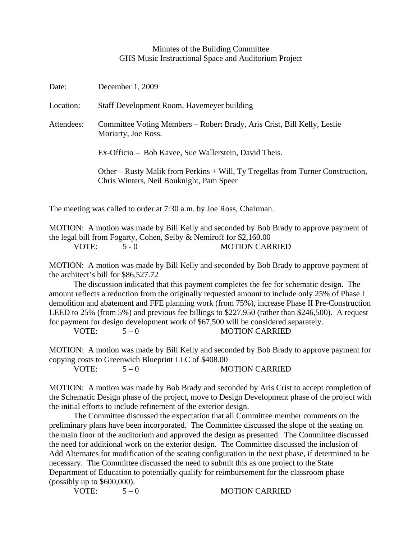## Minutes of the Building Committee GHS Music Instructional Space and Auditorium Project

| Date:      | December 1, 2009                                                                                                            |
|------------|-----------------------------------------------------------------------------------------------------------------------------|
| Location:  | Staff Development Room, Havemeyer building                                                                                  |
| Attendees: | Committee Voting Members – Robert Brady, Aris Crist, Bill Kelly, Leslie<br>Moriarty, Joe Ross.                              |
|            | Ex-Officio – Bob Kavee, Sue Wallerstein, David Theis.                                                                       |
|            | Other – Rusty Malik from Perkins + Will, Ty Tregellas from Turner Construction,<br>Chris Winters, Neil Bouknight, Pam Speer |
|            | The meeting was called to order at 7:30 a.m. by Joe Ross, Chairman.                                                         |

MOTION: A motion was made by Bill Kelly and seconded by Bob Brady to approve payment of

the legal bill from Fogarty, Cohen, Selby & Nemiroff for \$2,160.00

MOTION: A motion was made by Bill Kelly and seconded by Bob Brady to approve payment of the architect's bill for \$86,527.72

 The discussion indicated that this payment completes the fee for schematic design. The amount reflects a reduction from the originally requested amount to include only 25% of Phase I demolition and abatement and FFE planning work (from 75%), increase Phase II Pre-Construction LEED to 25% (from 5%) and previous fee billings to \$227,950 (rather than \$246,500). A request for payment for design development work of \$67,500 will be considered separately.

 $VOTE: 5-0$  MOTION CARRIED

MOTION: A motion was made by Bill Kelly and seconded by Bob Brady to approve payment for copying costs to Greenwich Blueprint LLC of \$408.00

VOTE:  $5-0$  MOTION CARRIED

MOTION: A motion was made by Bob Brady and seconded by Aris Crist to accept completion of the Schematic Design phase of the project, move to Design Development phase of the project with the initial efforts to include refinement of the exterior design.

 The Committee discussed the expectation that all Committee member comments on the preliminary plans have been incorporated. The Committee discussed the slope of the seating on the main floor of the auditorium and approved the design as presented. The Committee discussed the need for additional work on the exterior design. The Committee discussed the inclusion of Add Alternates for modification of the seating configuration in the next phase, if determined to be necessary. The Committee discussed the need to submit this as one project to the State Department of Education to potentially qualify for reimbursement for the classroom phase (possibly up to \$600,000).

VOTE:  $5-0$  MOTION CARRIED